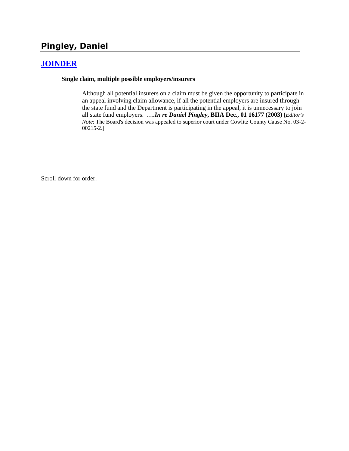# **Pingley, Daniel**

### **[JOINDER](http://www.biia.wa.gov/SDSubjectIndex.html#JOINDER)**

#### **Single claim, multiple possible employers/insurers**

Although all potential insurers on a claim must be given the opportunity to participate in an appeal involving claim allowance, if all the potential employers are insured through the state fund and the Department is participating in the appeal, it is unnecessary to join all state fund employers. **….***In re Daniel Pingley***, BIIA Dec., 01 16177 (2003)** [*Editor's Note*: The Board's decision was appealed to superior court under Cowlitz County Cause No. 03-2- 00215-2.]

Scroll down for order.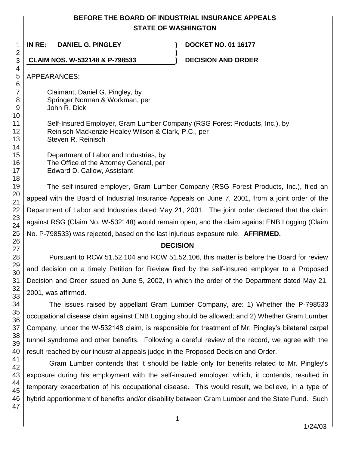### **BEFORE THE BOARD OF INDUSTRIAL INSURANCE APPEALS STATE OF WASHINGTON**

**)**

**IN RE: DANIEL G. PINGLEY ) DOCKET NO. 01 16177**

**CLAIM NOS. W-532148 & P-798533 ) DECISION AND ORDER**

APPEARANCES:

Claimant, Daniel G. Pingley, by Springer Norman & Workman, per John R. Dick

Self-Insured Employer, Gram Lumber Company (RSG Forest Products, Inc.), by Reinisch Mackenzie Healey Wilson & Clark, P.C., per Steven R. Reinisch

Department of Labor and Industries, by The Office of the Attorney General, per Edward D. Callow, Assistant

The self-insured employer, Gram Lumber Company (RSG Forest Products, Inc.), filed an appeal with the Board of Industrial Insurance Appeals on June 7, 2001, from a joint order of the Department of Labor and Industries dated May 21, 2001. The joint order declared that the claim against RSG (Claim No. W-532148) would remain open, and the claim against ENB Logging (Claim No. P-798533) was rejected, based on the last injurious exposure rule. **AFFIRMED.**

## **DECISION**

Pursuant to RCW 51.52.104 and RCW 51.52.106, this matter is before the Board for review and decision on a timely Petition for Review filed by the self-insured employer to a Proposed Decision and Order issued on June 5, 2002, in which the order of the Department dated May 21, 2001, was affirmed.

The issues raised by appellant Gram Lumber Company, are: 1) Whether the P-798533 occupational disease claim against ENB Logging should be allowed; and 2) Whether Gram Lumber Company, under the W-532148 claim, is responsible for treatment of Mr. Pingley's bilateral carpal tunnel syndrome and other benefits. Following a careful review of the record, we agree with the result reached by our industrial appeals judge in the Proposed Decision and Order.

Gram Lumber contends that it should be liable only for benefits related to Mr. Pingley's exposure during his employment with the self-insured employer, which, it contends, resulted in temporary exacerbation of his occupational disease. This would result, we believe, in a type of hybrid apportionment of benefits and/or disability between Gram Lumber and the State Fund. Such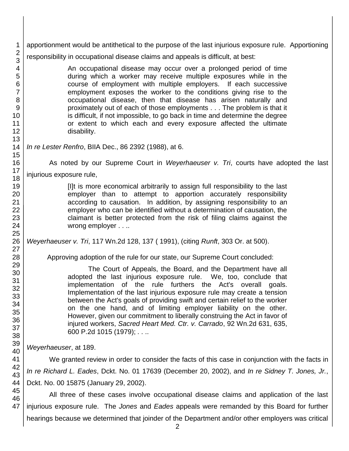apportionment would be antithetical to the purpose of the last injurious exposure rule. Apportioning responsibility in occupational disease claims and appeals is difficult, at best:

> An occupational disease may occur over a prolonged period of time during which a worker may receive multiple exposures while in the course of employment with multiple employers. If each successive employment exposes the worker to the conditions giving rise to the occupational disease, then that disease has arisen naturally and proximately out of each of those employments . . . The problem is that it is difficult, if not impossible, to go back in time and determine the degree or extent to which each and every exposure affected the ultimate disability.

### *In re Lester Renfro*, BIIA Dec., 86 2392 (1988), at 6.

As noted by our Supreme Court in *Weyerhaeuser v. Tri*, courts have adopted the last injurious exposure rule,

> [I]t is more economical arbitrarily to assign full responsibility to the last employer than to attempt to apportion accurately responsibility according to causation. In addition, by assigning responsibility to an employer who can be identified without a determination of causation, the claimant is better protected from the risk of filing claims against the wrong employer . . ..

*Weyerhaeuser v. Tri*, 117 Wn.2d 128, 137 ( 1991), (citing *Runft*, 303 Or. at 500).

Approving adoption of the rule for our state, our Supreme Court concluded:

The Court of Appeals, the Board, and the Department have all adopted the last injurious exposure rule. We, too, conclude that implementation of the rule furthers the Act's overall goals. Implementation of the last injurious exposure rule may create a tension between the Act's goals of providing swift and certain relief to the worker on the one hand, and of limiting employer liability on the other. However, given our commitment to liberally construing the Act in favor of injured workers, *Sacred Heart Med. Ctr. v. Carrado*, 92 Wn.2d 631, 635, 600 P.2d 1015 (1979); *. . ..*

*Weyerhaeuser*, at 189.

We granted review in order to consider the facts of this case in conjunction with the facts in *In re Richard L. Eades*, Dckt. No. 01 17639 (December 20, 2002), and *In re Sidney T. Jones, Jr.*, Dckt. No. 00 15875 (January 29, 2002).

All three of these cases involve occupational disease claims and application of the last injurious exposure rule. The *Jones* and *Eades* appeals were remanded by this Board for further hearings because we determined that joinder of the Department and/or other employers was critical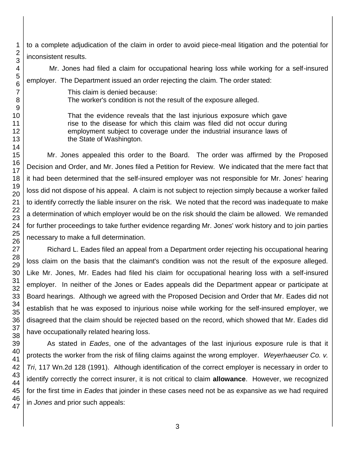to a complete adjudication of the claim in order to avoid piece-meal litigation and the potential for inconsistent results.

Mr. Jones had filed a claim for occupational hearing loss while working for a self-insured employer. The Department issued an order rejecting the claim. The order stated:

> This claim is denied because: The worker's condition is not the result of the exposure alleged.

That the evidence reveals that the last injurious exposure which gave rise to the disease for which this claim was filed did not occur during employment subject to coverage under the industrial insurance laws of the State of Washington.

Mr. Jones appealed this order to the Board. The order was affirmed by the Proposed Decision and Order, and Mr. Jones filed a Petition for Review. We indicated that the mere fact that it had been determined that the self-insured employer was not responsible for Mr. Jones' hearing loss did not dispose of his appeal. A claim is not subject to rejection simply because a worker failed to identify correctly the liable insurer on the risk. We noted that the record was inadequate to make a determination of which employer would be on the risk should the claim be allowed. We remanded for further proceedings to take further evidence regarding Mr. Jones' work history and to join parties necessary to make a full determination.

Richard L. Eades filed an appeal from a Department order rejecting his occupational hearing loss claim on the basis that the claimant's condition was not the result of the exposure alleged. Like Mr. Jones, Mr. Eades had filed his claim for occupational hearing loss with a self-insured employer. In neither of the Jones or Eades appeals did the Department appear or participate at Board hearings. Although we agreed with the Proposed Decision and Order that Mr. Eades did not establish that he was exposed to injurious noise while working for the self-insured employer, we disagreed that the claim should be rejected based on the record, which showed that Mr. Eades did have occupationally related hearing loss.

As stated in *Eades*, one of the advantages of the last injurious exposure rule is that it protects the worker from the risk of filing claims against the wrong employer. *Weyerhaeuser Co. v. Tri*, 117 Wn.2d 128 (1991). Although identification of the correct employer is necessary in order to identify correctly the correct insurer, it is not critical to claim **allowance**. However, we recognized for the first time in *Eades* that joinder in these cases need not be as expansive as we had required in *Jones* and prior such appeals:

1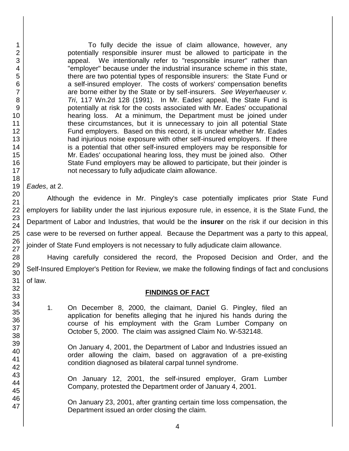1

To fully decide the issue of claim allowance, however, any potentially responsible insurer must be allowed to participate in the appeal. We intentionally refer to "responsible insurer" rather than "employer" because under the industrial insurance scheme in this state, there are two potential types of responsible insurers: the State Fund or a self-insured employer. The costs of workers' compensation benefits are borne either by the State or by self-insurers. *See Weyerhaeuser v. Tri*, 117 Wn.2d 128 (1991). In Mr. Eades' appeal, the State Fund is potentially at risk for the costs associated with Mr. Eades' occupational hearing loss. At a minimum, the Department must be joined under these circumstances, but it is unnecessary to join all potential State Fund employers. Based on this record, it is unclear whether Mr. Eades had injurious noise exposure with other self-insured employers. If there is a potential that other self-insured employers may be responsible for Mr. Eades' occupational hearing loss, they must be joined also. Other State Fund employers may be allowed to participate, but their joinder is not necessary to fully adjudicate claim allowance.

*Eades*, at 2.

Although the evidence in Mr. Pingley's case potentially implicates prior State Fund employers for liability under the last injurious exposure rule, in essence, it is the State Fund, the Department of Labor and Industries, that would be the **insurer** on the risk if our decision in this case were to be reversed on further appeal. Because the Department was a party to this appeal, joinder of State Fund employers is not necessary to fully adjudicate claim allowance.

Having carefully considered the record, the Proposed Decision and Order, and the Self-Insured Employer's Petition for Review, we make the following findings of fact and conclusions of law.

### **FINDINGS OF FACT**

1. On December 8, 2000, the claimant, Daniel G. Pingley, filed an application for benefits alleging that he injured his hands during the course of his employment with the Gram Lumber Company on October 5, 2000. The claim was assigned Claim No. W-532148.

On January 4, 2001, the Department of Labor and Industries issued an order allowing the claim, based on aggravation of a pre-existing condition diagnosed as bilateral carpal tunnel syndrome.

On January 12, 2001, the self-insured employer, Gram Lumber Company, protested the Department order of January 4, 2001.

On January 23, 2001, after granting certain time loss compensation, the Department issued an order closing the claim.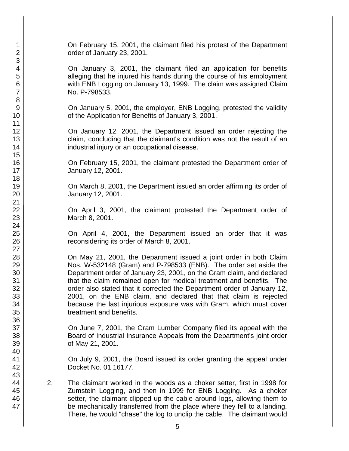On February 15, 2001, the claimant filed his protest of the Department order of January 23, 2001.

On January 3, 2001, the claimant filed an application for benefits alleging that he injured his hands during the course of his employment with ENB Logging on January 13, 1999. The claim was assigned Claim No. P-798533.

On January 5, 2001, the employer, ENB Logging, protested the validity of the Application for Benefits of January 3, 2001.

On January 12, 2001, the Department issued an order rejecting the claim, concluding that the claimant's condition was not the result of an industrial injury or an occupational disease.

On February 15, 2001, the claimant protested the Department order of January 12, 2001.

On March 8, 2001, the Department issued an order affirming its order of January 12, 2001.

On April 3, 2001, the claimant protested the Department order of March 8, 2001.

On April 4, 2001, the Department issued an order that it was reconsidering its order of March 8, 2001.

On May 21, 2001, the Department issued a joint order in both Claim Nos. W-532148 (Gram) and P-798533 (ENB). The order set aside the Department order of January 23, 2001, on the Gram claim, and declared that the claim remained open for medical treatment and benefits. The order also stated that it corrected the Department order of January 12, 2001, on the ENB claim, and declared that that claim is rejected because the last injurious exposure was with Gram, which must cover treatment and benefits.

On June 7, 2001, the Gram Lumber Company filed its appeal with the Board of Industrial Insurance Appeals from the Department's joint order of May 21, 2001.

On July 9, 2001, the Board issued its order granting the appeal under Docket No. 01 16177.

2. The claimant worked in the woods as a choker setter, first in 1998 for Zumstein Logging, and then in 1999 for ENB Logging. As a choker setter, the claimant clipped up the cable around logs, allowing them to be mechanically transferred from the place where they fell to a landing. There, he would "chase" the log to unclip the cable. The claimant would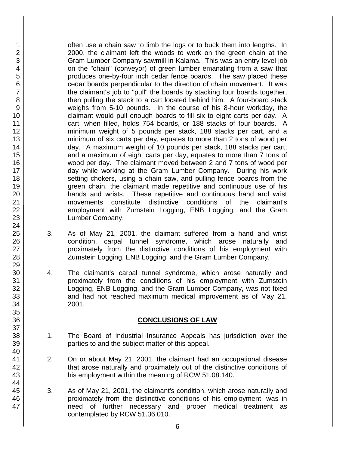often use a chain saw to limb the logs or to buck them into lengths. In 2000, the claimant left the woods to work on the green chain at the Gram Lumber Company sawmill in Kalama. This was an entry-level job on the "chain" (conveyor) of green lumber emanating from a saw that produces one-by-four inch cedar fence boards. The saw placed these cedar boards perpendicular to the direction of chain movement. It was the claimant's job to "pull" the boards by stacking four boards together, then pulling the stack to a cart located behind him. A four-board stack weighs from 5-10 pounds. In the course of his 8-hour workday, the claimant would pull enough boards to fill six to eight carts per day. A cart, when filled, holds 754 boards, or 188 stacks of four boards. A minimum weight of 5 pounds per stack, 188 stacks per cart, and a minimum of six carts per day, equates to more than 2 tons of wood per day. A maximum weight of 10 pounds per stack, 188 stacks per cart, and a maximum of eight carts per day, equates to more than 7 tons of wood per day. The claimant moved between 2 and 7 tons of wood per day while working at the Gram Lumber Company. During his work setting chokers, using a chain saw, and pulling fence boards from the green chain, the claimant made repetitive and continuous use of his hands and wrists. These repetitive and continuous hand and wrist movements constitute distinctive conditions of the claimant's employment with Zumstein Logging, ENB Logging, and the Gram Lumber Company.

- 3. As of May 21, 2001, the claimant suffered from a hand and wrist condition, carpal tunnel syndrome, which arose naturally and proximately from the distinctive conditions of his employment with Zumstein Logging, ENB Logging, and the Gram Lumber Company.
- 4. The claimant's carpal tunnel syndrome, which arose naturally and proximately from the conditions of his employment with Zumstein Logging, ENB Logging, and the Gram Lumber Company, was not fixed and had not reached maximum medical improvement as of May 21, 2001.

#### **CONCLUSIONS OF LAW**

- 1. The Board of Industrial Insurance Appeals has jurisdiction over the parties to and the subject matter of this appeal.
- 2. On or about May 21, 2001, the claimant had an occupational disease that arose naturally and proximately out of the distinctive conditions of his employment within the meaning of RCW 51.08.140.
- 3. As of May 21, 2001, the claimant's condition, which arose naturally and proximately from the distinctive conditions of his employment, was in need of further necessary and proper medical treatment as contemplated by RCW 51.36.010.